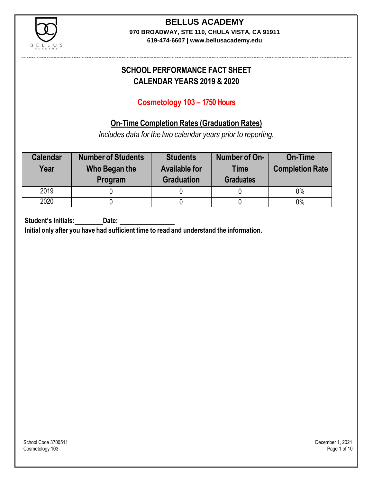

#### **BELLUS ACADEMY 970 BROADWAY, STE 110, CHULA VISTA, CA 91911**

**619-474-6607 | www.bellusacademy.edu**

# **SCHOOL PERFORMANCE FACT SHEET CALENDAR YEARS 2019 & 2020**

# **Cosmetology 103 – 1750 Hours**

# **On-Time Completion Rates (Graduation Rates)**

*Includes data for the two calendar years prior to reporting.*

| <b>Calendar</b><br>Year | <b>Number of Students</b><br>Who Began the<br>Program | <b>Students</b><br><b>Available for</b><br><b>Graduation</b> | Number of On-<br><b>Time</b><br><b>Graduates</b> | <b>On-Time</b><br><b>Completion Rate</b> |
|-------------------------|-------------------------------------------------------|--------------------------------------------------------------|--------------------------------------------------|------------------------------------------|
| 2019                    |                                                       |                                                              |                                                  | 0%                                       |
| 2020                    |                                                       |                                                              |                                                  | $0\%$                                    |

**Student's Initials: Date:**

**Initial only after you have had sufficient time to read and understand the information.**

School Code 3700511 December 1, 2021<br>Cosmetology 103 Page 1 of 10 Cosmetology 103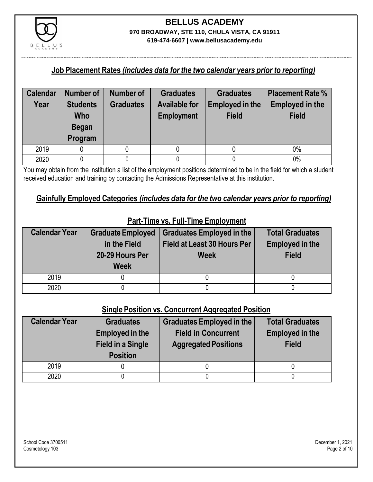

#### **Job Placement Rates** *(includes data for the two calendar years prior to reporting)*

| <b>Calendar</b> | <b>Number of</b>              | Number of        | <b>Graduates</b>                          | <b>Graduates</b>                | <b>Placement Rate %</b>                |
|-----------------|-------------------------------|------------------|-------------------------------------------|---------------------------------|----------------------------------------|
| Year            | <b>Students</b><br><b>Who</b> | <b>Graduates</b> | <b>Available for</b><br><b>Employment</b> | Employed in the<br><b>Field</b> | <b>Employed in the</b><br><b>Field</b> |
|                 | <b>Began</b>                  |                  |                                           |                                 |                                        |
|                 | Program                       |                  |                                           |                                 |                                        |
| 2019            |                               |                  |                                           |                                 | $0\%$                                  |
| 2020            |                               |                  |                                           |                                 | 0%                                     |

You may obtain from the institution a list of the employment positions determined to be in the field for which a student received education and training by contacting the Admissions Representative at this institution.

#### **Gainfully Employed Categories** *(includes data for the two calendar years prior to reporting)*

| <b>Calendar Year</b> | <b>Graduate Employed</b><br>in the Field<br>20-29 Hours Per<br><b>Week</b> | <b>Graduates Employed in the</b><br>Field at Least 30 Hours Per<br><b>Week</b> | <b>Total Graduates</b><br><b>Employed in the</b><br><b>Field</b> |
|----------------------|----------------------------------------------------------------------------|--------------------------------------------------------------------------------|------------------------------------------------------------------|
| 2019                 |                                                                            |                                                                                |                                                                  |
| 2020                 |                                                                            |                                                                                |                                                                  |

# **Part-Time vs. Full-Time Employment**

### **Single Position vs. Concurrent Aggregated Position**

| <b>Calendar Year</b> | <b>Graduates</b><br><b>Employed in the</b><br><b>Field in a Single</b><br><b>Position</b> | Graduates Employed in the<br><b>Field in Concurrent</b><br><b>Aggregated Positions</b> | <b>Total Graduates</b><br><b>Employed in the</b><br><b>Field</b> |
|----------------------|-------------------------------------------------------------------------------------------|----------------------------------------------------------------------------------------|------------------------------------------------------------------|
| 2019                 |                                                                                           |                                                                                        |                                                                  |
| 2020                 |                                                                                           |                                                                                        |                                                                  |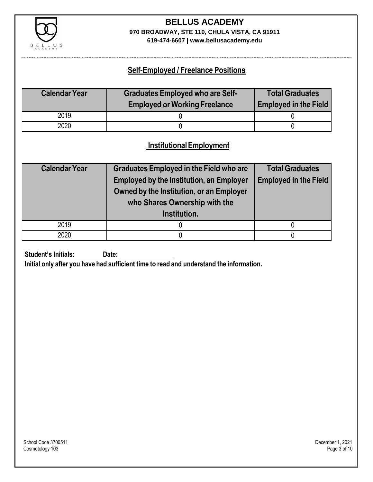

# **BELLUS ACADEMY 970 BROADWAY, STE 110, CHULA VISTA, CA 91911**

**619-474-6607 | www.bellusacademy.edu**

### **Self-Employed / Freelance Positions**

| <b>Calendar Year</b> | <b>Graduates Employed who are Self-</b> | <b>Total Graduates</b>       |
|----------------------|-----------------------------------------|------------------------------|
|                      | <b>Employed or Working Freelance</b>    | <b>Employed in the Field</b> |
| 2019                 |                                         |                              |
| 2020                 |                                         |                              |

### **InstitutionalEmployment**

| <b>Calendar Year</b> | <b>Graduates Employed in the Field who are</b>  | <b>Total Graduates</b>       |  |
|----------------------|-------------------------------------------------|------------------------------|--|
|                      | <b>Employed by the Institution, an Employer</b> | <b>Employed in the Field</b> |  |
|                      | Owned by the Institution, or an Employer        |                              |  |
|                      | who Shares Ownership with the                   |                              |  |
|                      | Institution.                                    |                              |  |
| 2019                 |                                                 |                              |  |
| 2020                 |                                                 |                              |  |

**Student's Initials:** Date:

**Initial only after you have had sufficient time to read and understand the information.**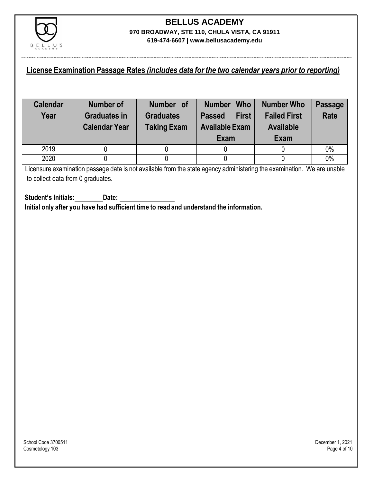

### **License Examination Passage Rates** *(includes data for the two calendar years prior to reporting)*

| <b>Calendar</b><br>Year | Number of<br><b>Graduates in</b><br><b>Calendar Year</b> | Number of<br><b>Graduates</b><br><b>Taking Exam</b> | <b>Who</b><br><b>Number</b><br><b>First</b><br><b>Passed</b><br><b>Available Exam</b><br>Exam | <b>Number Who</b><br><b>Failed First</b><br><b>Available</b><br>Exam | <b>Passage</b><br><b>Rate</b> |
|-------------------------|----------------------------------------------------------|-----------------------------------------------------|-----------------------------------------------------------------------------------------------|----------------------------------------------------------------------|-------------------------------|
| 2019                    |                                                          |                                                     |                                                                                               |                                                                      | 0%                            |
| 2020                    |                                                          |                                                     |                                                                                               |                                                                      | 0%                            |

Licensure examination passage data is not available from the state agency administering the examination. We are unable to collect data from 0 graduates.

**Student's Initials: Date: Initial only after you have had sufficient time to read and understand the information.**

School Code 3700511 December 1, 2021<br>Cosmetology 103 Page 4 of 10 Cosmetology 103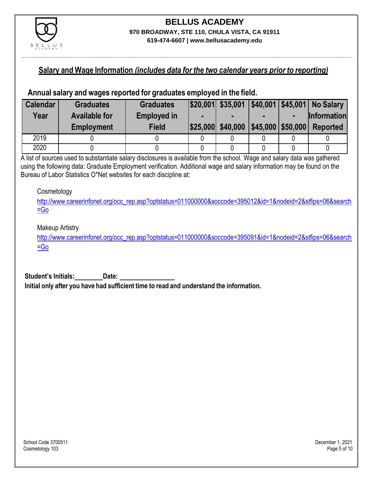

#### **Salary and Wage Information** *(includes data for the two calendar years prior to reporting)*

#### **Annual salary and wages reported for graduates employed in the field.**

| <b>Calendar</b> | <b>Graduates</b>     | <b>Graduates</b>   |                                     |  | $ $20,001 $ \$35,001 $ $40,001 $45,001 $ No Salary |
|-----------------|----------------------|--------------------|-------------------------------------|--|----------------------------------------------------|
| Year            | <b>Available for</b> | <b>Employed in</b> |                                     |  | <b>Information</b>                                 |
|                 | <b>Employment</b>    | <b>Field</b>       | \$25,000 \$40,000 \$45,000 \$50,000 |  | <b>Reported</b>                                    |
| 2019            |                      |                    |                                     |  |                                                    |
| 2020            |                      |                    |                                     |  |                                                    |

A list of sources used to substantiate salary disclosures is available from the school. Wage and salary data was gathered using the following data: Graduate Employment verification. Additional wage and salary information may be found on the Bureau of Labor Statistics O\*Net websites for each discipline at:

#### **Cosmetology**

[http://www.careerinfonet.org/occ\\_rep.asp?optstatus=011000000&soccode=395012&id=1&nodeid=2&stfips=06&search](http://www.careerinfonet.org/occ_rep.asp?optstatus=011000000&soccode=395012&id=1&nodeid=2&stfips=06&search=Go) [=Go](http://www.careerinfonet.org/occ_rep.asp?optstatus=011000000&soccode=395012&id=1&nodeid=2&stfips=06&search=Go)

#### Makeup Artistry

[http://www.careerinfonet.org/occ\\_rep.asp?optstatus=011000000&soccode=395091&id=1&nodeid=2&stfips=06&search](http://www.careerinfonet.org/occ_rep.asp?optstatus=011000000&soccode=395091&id=1&nodeid=2&stfips=06&search=Go)  $=$ Go

**Student's Initials: Date: Initial only after you have had sufficient time to read and understand the information.**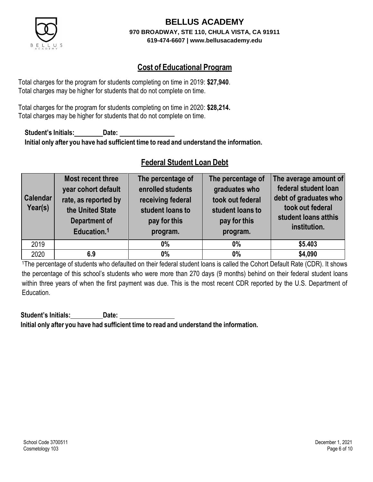

# **Cost of Educational Program**

Total charges for the program for students completing on time in 2019: **\$27,940**. Total charges may be higher for students that do not complete on time.

Total charges for the program for students completing on time in 2020: **\$28,214.** Total charges may be higher for students that do not complete on time.

**Student's Initials: Date: Initial only after you have had sufficient time to read and understand the information.**

## **Federal Student Loan Debt**

| <b>Calendar</b><br>Year(s) | Most recent three<br>year cohort default<br>rate, as reported by<br>the United State<br><b>Department of</b><br>Education. <sup>1</sup> | The percentage of<br>enrolled students<br>receiving federal<br>student loans to<br>pay for this<br>program. | The percentage of<br>graduates who<br>took out federal<br>student loans to<br>pay for this<br>program. | The average amount of<br>federal student loan<br>debt of graduates who<br>took out federal<br>student loans atthis<br>institution. |
|----------------------------|-----------------------------------------------------------------------------------------------------------------------------------------|-------------------------------------------------------------------------------------------------------------|--------------------------------------------------------------------------------------------------------|------------------------------------------------------------------------------------------------------------------------------------|
| 2019                       |                                                                                                                                         | $0\%$                                                                                                       | $0\%$                                                                                                  | \$5.403                                                                                                                            |
| 2020                       | 6.9                                                                                                                                     | $0\%$                                                                                                       | $0\%$                                                                                                  | \$4,090                                                                                                                            |

<sup>1</sup>The percentage of students who defaulted on their federal student loans is called the Cohort Default Rate (CDR). It shows the percentage of this school's students who were more than 270 days (9 months) behind on their federal student loans within three years of when the first payment was due. This is the most recent CDR reported by the U.S. Department of Education.

**Student's Initials: Date: Initial only after you have had sufficient time to read and understand the information.**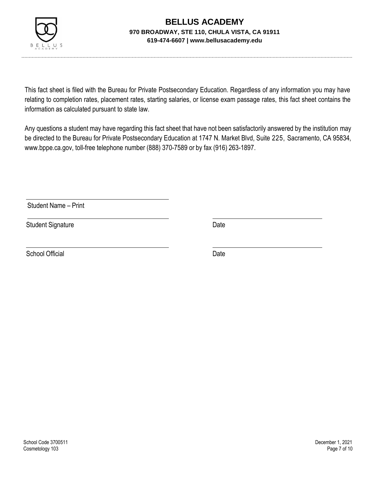

This fact sheet is filed with the Bureau for Private Postsecondary Education. Regardless of any information you may have relating to completion rates, placement rates, starting salaries, or license exam passage rates, this fact sheet contains the information as calculated pursuant to state law.

Any questions a student may have regarding this fact sheet that have not been satisfactorily answered by the institution may be directed to the Bureau for Private Postsecondary Education at 1747 N. Market Blvd, Suite 225, Sacramento, CA 95834, [www.bppe.ca.gov,](http://www.bppe.ca.gov/) toll-free telephone number (888) 370-7589 or by fax (916) 263-1897.

Student Name – Print

Student Signature Date Date

School Official Date Date Date Date Date Date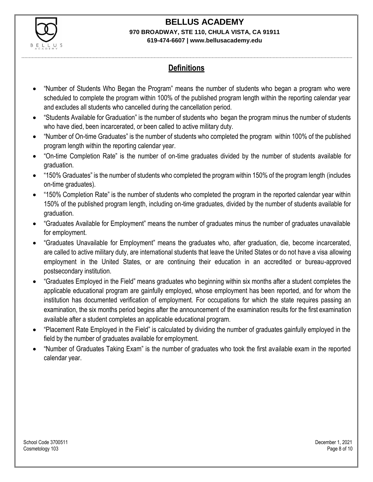

# **Definitions**

- "Number of Students Who Began the Program" means the number of students who began a program who were scheduled to complete the program within 100% of the published program length within the reporting calendar year and excludes all students who cancelled during the cancellation period.
- "Students Available for Graduation" is the number of students who began the program minus the number of students who have died, been incarcerated, or been called to active military duty.
- "Number of On-time Graduates" is the number of students who completed the program within 100% of the published program length within the reporting calendar year.
- "On-time Completion Rate" is the number of on-time graduates divided by the number of students available for graduation.
- "150% Graduates" is the number of students who completed the program within 150% of the program length (includes on-time graduates).
- "150% Completion Rate" is the number of students who completed the program in the reported calendar year within 150% of the published program length, including on-time graduates, divided by the number of students available for graduation.
- "Graduates Available for Employment" means the number of graduates minus the number of graduates unavailable for employment.
- "Graduates Unavailable for Employment" means the graduates who, after graduation, die, become incarcerated, are called to active military duty, are international students that leave the United States or do not have a visa allowing employment in the United States, or are continuing their education in an accredited or bureau-approved postsecondary institution.
- "Graduates Employed in the Field" means graduates who beginning within six months after a student completes the applicable educational program are gainfully employed, whose employment has been reported, and for whom the institution has documented verification of employment. For occupations for which the state requires passing an examination, the six months period begins after the announcement of the examination results for the first examination available after a student completes an applicable educational program.
- "Placement Rate Employed in the Field" is calculated by dividing the number of graduates gainfully employed in the field by the number of graduates available for employment.
- "Number of Graduates Taking Exam" is the number of graduates who took the first available exam in the reported calendar year.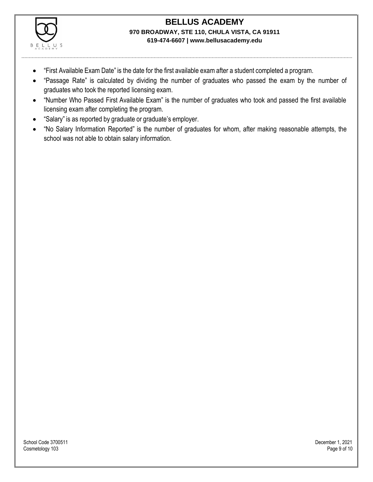

- "First Available Exam Date" is the date for the first available exam after a student completed a program.
- "Passage Rate" is calculated by dividing the number of graduates who passed the exam by the number of graduates who took the reported licensing exam.
- "Number Who Passed First Available Exam" is the number of graduates who took and passed the first available licensing exam after completing the program.
- "Salary" is as reported by graduate or graduate's employer.
- "No Salary Information Reported" is the number of graduates for whom, after making reasonable attempts, the school was not able to obtain salary information.